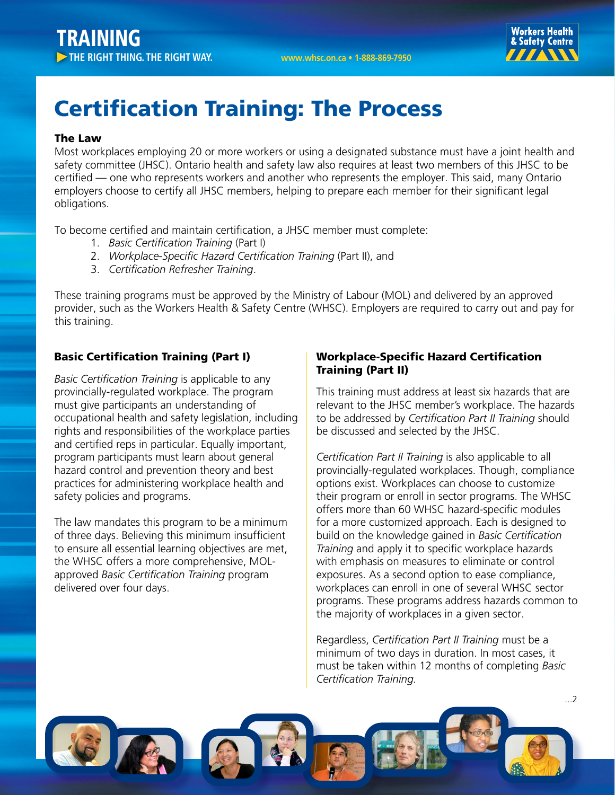

# Certification Training: The Process

### The Law

Most workplaces employing 20 or more workers or using a designated substance must have a joint health and safety committee (JHSC). Ontario health and safety law also requires at least two members of this JHSC to be certified — one who represents workers and another who represents the employer. This said, many Ontario employers choose to certify all JHSC members, helping to prepare each member for their significant legal obligations.

To become certified and maintain certification, a JHSC member must complete:

- 1. *Basic Certification Training* (Part I)
- 2. *Workplace-Specific Hazard Certification Training* (Part II), and
- 3. *Certification Refresher Training*.

These training programs must be approved by the Ministry of Labour (MOL) and delivered by an approved provider, such as the Workers Health & Safety Centre (WHSC). Employers are required to carry out and pay for this training.

# Basic Certification Training (Part I)

*Basic Certification Training* is applicable to any provincially-regulated workplace. The program must give participants an understanding of occupational health and safety legislation, including rights and responsibilities of the workplace parties and certified reps in particular. Equally important, program participants must learn about general hazard control and prevention theory and best practices for administering workplace health and safety policies and programs.

The law mandates this program to be a minimum of three days. Believing this minimum insufficient to ensure all essential learning objectives are met, the WHSC offers a more comprehensive, MOLapproved *Basic Certification Training* program delivered over four days.

# Workplace-Specific Hazard Certification Training (Part II)

This training must address at least six hazards that are relevant to the JHSC member's workplace. The hazards to be addressed by *Certification Part II Training* should be discussed and selected by the JHSC.

*Certification Part II Training* is also applicable to all provincially-regulated workplaces. Though, compliance options exist. Workplaces can choose to customize their program or enroll in sector programs. The WHSC offers more than 60 WHSC hazard-specific modules for a more customized approach. Each is designed to build on the knowledge gained in *Basic Certification Training* and apply it to specific workplace hazards with emphasis on measures to eliminate or control exposures. As a second option to ease compliance, workplaces can enroll in one of several WHSC sector programs. These programs address hazards common to the majority of workplaces in a given sector.

Regardless, *Certification Part II Training* must be a minimum of two days in duration. In most cases, it must be taken within 12 months of completing *Basic Certification Training.*